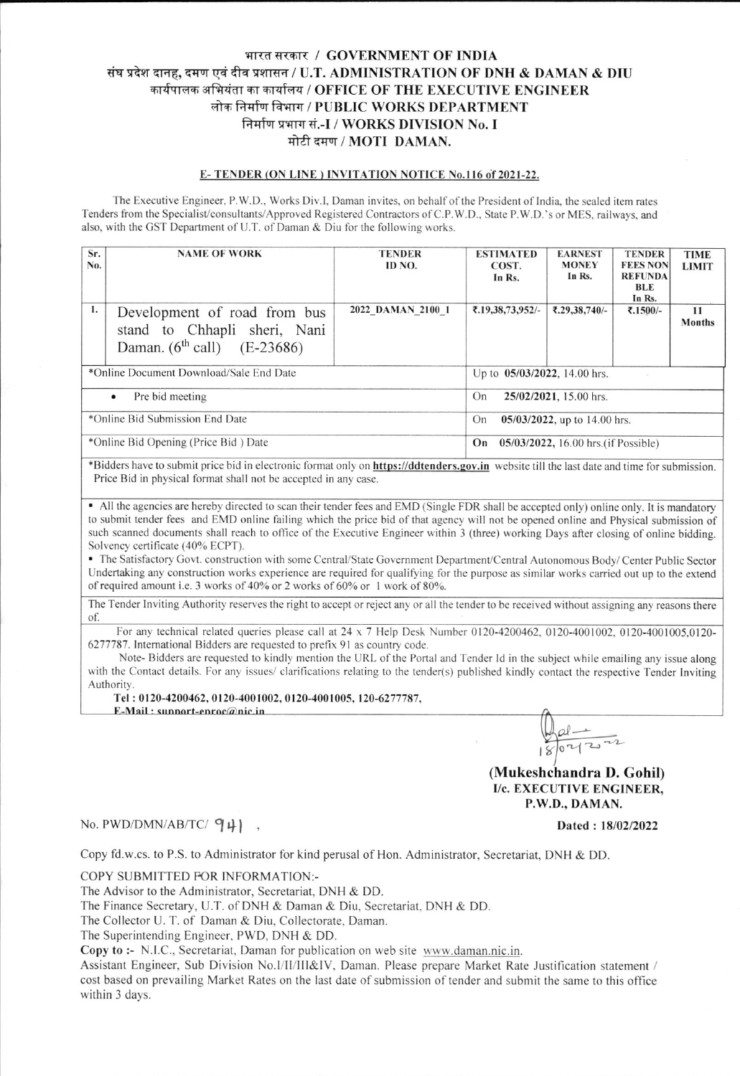## भारत सरकार / GOVERNMENT OF INDIA संघ प्रदेश दानह, दमण एवं दीव प्रशासन / U.T. ADMINISTRATION OF DNH & DAMAN & DIU कार्यपालक अभियंता का कार्यालय / OFFICE OF THE EXECUTIVE ENGINEER लोक निर्माण विभाग / PUBLIC WORKS DEPARTMENT निर्माण प्रभाग सं.-I / WORKS DIVISION No. I मोटी दमण / MOTI DAMAN.

## E-TENDER (ON LINE) INVITATION NOTICE No.116 of 2021-22.

The Executive Engineer, P.W.D., Works Div.I, Daman invites, on behalf of the President of India, the sealed item rates Tenders from the Specialist/consultants/Approved Registered Contractors of C.P.W.D., State P.W.D.'s or MES, railways, and also, with the GST Department of U.T. of Daman & Diu for the following works.

| Sr.<br>No.                           | <b>NAME OF WORK</b>                                                                                | <b>TENDER</b><br>ID NO.      | <b>ESTIMATED</b><br>COST.<br>In Rs.        | <b>EARNEST</b><br><b>MONEY</b><br>In Rs. | <b>TENDER</b><br><b>FEES NON</b><br><b>REFUNDA</b><br>BLE<br>In Rs. | <b>TIME</b><br><b>LIMIT</b> |  |
|--------------------------------------|----------------------------------------------------------------------------------------------------|------------------------------|--------------------------------------------|------------------------------------------|---------------------------------------------------------------------|-----------------------------|--|
| 1.                                   | Development of road from bus<br>stand to Chhapli sheri, Nani<br>Daman. $(6^{th}$ call) $(E-23686)$ | 2022 DAMAN 2100 1            | ₹.19,38,73,952/-                           | ₹.29,38,740/-                            | ₹.1500/-                                                            | 11<br><b>Months</b>         |  |
|                                      | *Online Document Download/Sale End Date                                                            | Up to 05/03/2022, 14.00 hrs. |                                            |                                          |                                                                     |                             |  |
| Pre bid meeting<br>$\bullet$         |                                                                                                    |                              | 25/02/2021, 15.00 hrs.<br>On               |                                          |                                                                     |                             |  |
| *Online Bid Submission End Date      |                                                                                                    |                              | $05/03/2022$ , up to 14.00 hrs.<br>On      |                                          |                                                                     |                             |  |
| *Online Bid Opening (Price Bid) Date |                                                                                                    |                              | 05/03/2022, 16.00 hrs. (if Possible)<br>On |                                          |                                                                     |                             |  |

\*Bidders have to submit price bid in electronic format only on https://ddtenders.gov.in website till the last date and time for submission. Price Bid in physical format shall not be accepted in any case.

• All the agencies are hereby directed to scan their tender fees and EMD (Single FDR shall be accepted only) online only. It is mandatory to submit tender fees and EMD online failing which the price bid of that agency will not be opened online and Physical submission of such scanned documents shall reach to office of the Executive Engineer within 3 (three) working Days after closing of online bidding. Solvency certificate (40% ECPT).

• The Satisfactory Govt. construction with some Central/State Government Department/Central Autonomous Body/Center Public Sector Undertaking any construction works experience are required for qualifying for the purpose as similar works carried out up to the extend of required amount i.e. 3 works of 40% or 2 works of 60% or 1 work of 80%.

The Tender Inviting Authority reserves the right to accept or reject any or all the tender to be received without assigning any reasons there of.

For any technical related queries please call at  $24 \times 7$  Help Desk Number 0120-4200462, 0120-4001002, 0120-4001005,0120-6277787. International Bidders are requested to prefix 91 as country code.

Note-Bidders are requested to kindly mention the URL of the Portal and Tender Id in the subject while emailing any issue along with the Contact details. For any issues/ clarifications relating to the tender(s) published kindly contact the respective Tender Inviting Authority.

Tel: 0120-4200462, 0120-4001002, 0120-4001005, 120-6277787,

 $E-Mail: sunnort-enroc@nic.in$ 

 $\frac{1}{042222}$ 

(Mukeshchandra D. Gohil) I/c. EXECUTIVE ENGINEER, P.W.D., DAMAN.

## No. PWD/DMN/AB/TC/ $94$ ),

Dated: 18/02/2022

Copy fd.w.cs. to P.S. to Administrator for kind perusal of Hon. Administrator, Secretariat, DNH & DD.

COPY SUBMITTED FOR INFORMATION:-

The Advisor to the Administrator, Secretariat, DNH & DD.

The Finance Secretary, U.T. of DNH & Daman & Diu, Secretariat, DNH & DD.

The Collector U. T. of Daman & Diu, Collectorate, Daman.

The Superintending Engineer, PWD, DNH & DD.

Copy to :- N.I.C., Secretariat, Daman for publication on web site www.daman.nic.in.

Assistant Engineer, Sub Division No.I/II/III&IV, Daman. Please prepare Market Rate Justification statement / cost based on prevailing Market Rates on the last date of submission of tender and submit the same to this office within 3 days.